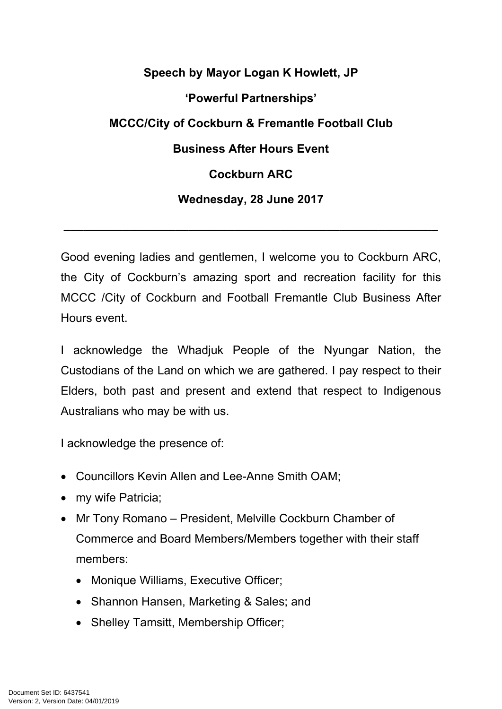## **Speech by Mayor Logan K Howlett, JP 'Powerful Partnerships' MCCC/City of Cockburn & Fremantle Football Club Business After Hours Event Cockburn ARC Wednesday, 28 June 2017**

Good evening ladies and gentlemen, I welcome you to Cockburn ARC, the City of Cockburn's amazing sport and recreation facility for this MCCC /City of Cockburn and Football Fremantle Club Business After Hours event.

**\_\_\_\_\_\_\_\_\_\_\_\_\_\_\_\_\_\_\_\_\_\_\_\_\_\_\_\_\_\_\_\_\_\_\_\_\_\_\_\_\_\_\_\_\_\_\_\_\_\_\_\_\_\_\_\_\_**

I acknowledge the Whadjuk People of the Nyungar Nation, the Custodians of the Land on which we are gathered. I pay respect to their Elders, both past and present and extend that respect to Indigenous Australians who may be with us.

I acknowledge the presence of:

- Councillors Kevin Allen and Lee-Anne Smith OAM;
- my wife Patricia;
- Mr Tony Romano President, Melville Cockburn Chamber of Commerce and Board Members/Members together with their staff members:
	- Monique Williams, Executive Officer;
	- Shannon Hansen, Marketing & Sales; and
	- Shelley Tamsitt, Membership Officer;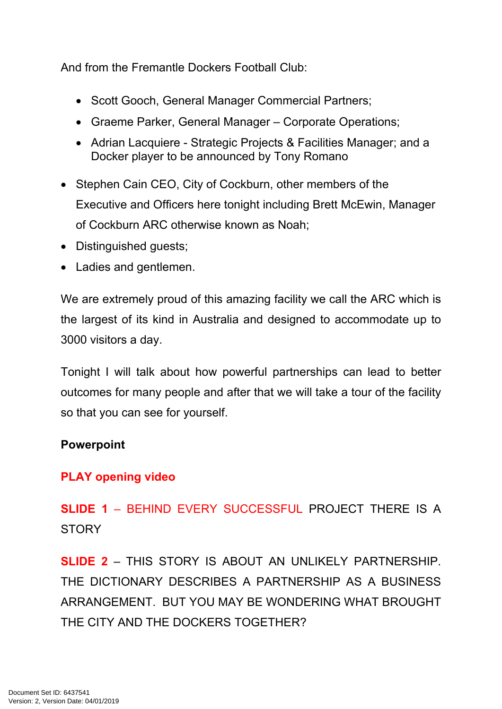And from the Fremantle Dockers Football Club:

- Scott Gooch, General Manager Commercial Partners;
- Graeme Parker, General Manager Corporate Operations;
- Adrian Lacquiere Strategic Projects & Facilities Manager; and a Docker player to be announced by Tony Romano
- Stephen Cain CEO, City of Cockburn, other members of the Executive and Officers here tonight including Brett McEwin, Manager of Cockburn ARC otherwise known as Noah;
- Distinguished guests;
- Ladies and gentlemen.

We are extremely proud of this amazing facility we call the ARC which is the largest of its kind in Australia and designed to accommodate up to 3000 visitors a day.

Tonight I will talk about how powerful partnerships can lead to better outcomes for many people and after that we will take a tour of the facility so that you can see for yourself.

## **Powerpoint**

## **PLAY opening video**

**SLIDE 1** – BEHIND EVERY SUCCESSFUL PROJECT THERE IS A **STORY** 

**SLIDE 2** – THIS STORY IS ABOUT AN UNLIKELY PARTNERSHIP. THE DICTIONARY DESCRIBES A PARTNERSHIP AS A BUSINESS ARRANGEMENT. BUT YOU MAY BE WONDERING WHAT BROUGHT THE CITY AND THE DOCKERS TOGETHER?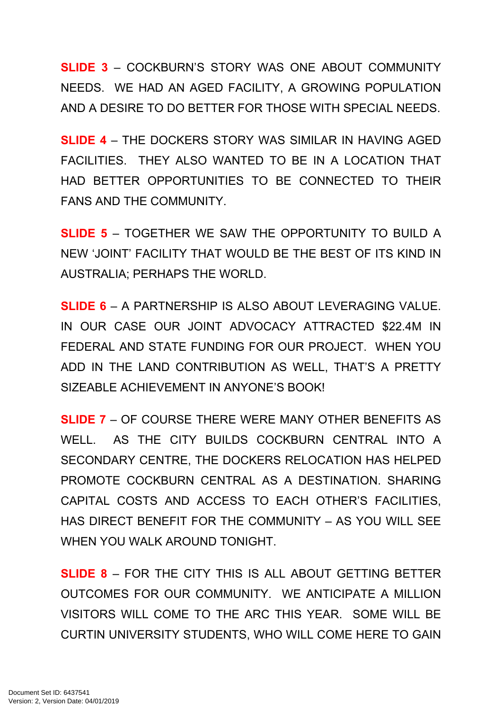**SLIDE 3** – COCKBURN'S STORY WAS ONE ABOUT COMMUNITY NEEDS. WE HAD AN AGED FACILITY, A GROWING POPULATION AND A DESIRE TO DO BETTER FOR THOSE WITH SPECIAL NEEDS.

**SLIDE 4** – THE DOCKERS STORY WAS SIMILAR IN HAVING AGED FACILITIES. THEY ALSO WANTED TO BE IN A LOCATION THAT HAD BETTER OPPORTUNITIES TO BE CONNECTED TO THEIR FANS AND THE COMMUNITY.

**SLIDE 5** – TOGETHER WE SAW THE OPPORTUNITY TO BUILD A NEW 'JOINT' FACILITY THAT WOULD BE THE BEST OF ITS KIND IN AUSTRALIA; PERHAPS THE WORLD.

**SLIDE 6** – A PARTNERSHIP IS ALSO ABOUT LEVERAGING VALUE. IN OUR CASE OUR JOINT ADVOCACY ATTRACTED \$22.4M IN FEDERAL AND STATE FUNDING FOR OUR PROJECT. WHEN YOU ADD IN THE LAND CONTRIBUTION AS WELL, THAT'S A PRETTY SIZEABLE ACHIEVEMENT IN ANYONE'S BOOK!

**SLIDE 7** – OF COURSE THERE WERE MANY OTHER BENEFITS AS WELL. AS THE CITY BUILDS COCKBURN CENTRAL INTO A SECONDARY CENTRE, THE DOCKERS RELOCATION HAS HELPED PROMOTE COCKBURN CENTRAL AS A DESTINATION. SHARING CAPITAL COSTS AND ACCESS TO EACH OTHER'S FACILITIES, HAS DIRECT BENEFIT FOR THE COMMUNITY – AS YOU WILL SEE WHEN YOU WALK AROUND TONIGHT.

**SLIDE 8** – FOR THE CITY THIS IS ALL ABOUT GETTING BETTER OUTCOMES FOR OUR COMMUNITY. WE ANTICIPATE A MILLION VISITORS WILL COME TO THE ARC THIS YEAR. SOME WILL BE CURTIN UNIVERSITY STUDENTS, WHO WILL COME HERE TO GAIN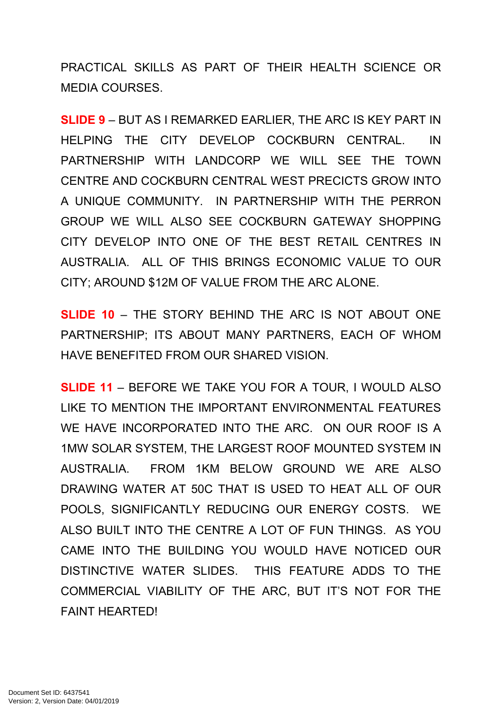PRACTICAL SKILLS AS PART OF THEIR HEALTH SCIENCE OR MEDIA COURSES.

**SLIDE 9** – BUT AS I REMARKED EARLIER, THE ARC IS KEY PART IN HELPING THE CITY DEVELOP COCKBURN CENTRAL. IN PARTNERSHIP WITH LANDCORP WE WILL SEE THE TOWN CENTRE AND COCKBURN CENTRAL WEST PRECICTS GROW INTO A UNIQUE COMMUNITY. IN PARTNERSHIP WITH THE PERRON GROUP WE WILL ALSO SEE COCKBURN GATEWAY SHOPPING CITY DEVELOP INTO ONE OF THE BEST RETAIL CENTRES IN AUSTRALIA. ALL OF THIS BRINGS ECONOMIC VALUE TO OUR CITY; AROUND \$12M OF VALUE FROM THE ARC ALONE.

**SLIDE 10** – THE STORY BEHIND THE ARC IS NOT ABOUT ONE PARTNERSHIP; ITS ABOUT MANY PARTNERS, EACH OF WHOM HAVE BENEFITED FROM OUR SHARED VISION.

**SLIDE 11** – BEFORE WE TAKE YOU FOR A TOUR, I WOULD ALSO LIKE TO MENTION THE IMPORTANT ENVIRONMENTAL FEATURES WE HAVE INCORPORATED INTO THE ARC. ON OUR ROOF IS A 1MW SOLAR SYSTEM, THE LARGEST ROOF MOUNTED SYSTEM IN AUSTRALIA. FROM 1KM BELOW GROUND WE ARE ALSO DRAWING WATER AT 50C THAT IS USED TO HEAT ALL OF OUR POOLS, SIGNIFICANTLY REDUCING OUR ENERGY COSTS. WE ALSO BUILT INTO THE CENTRE A LOT OF FUN THINGS. AS YOU CAME INTO THE BUILDING YOU WOULD HAVE NOTICED OUR DISTINCTIVE WATER SLIDES. THIS FEATURE ADDS TO THE COMMERCIAL VIABILITY OF THE ARC, BUT IT'S NOT FOR THE FAINT HEARTED!